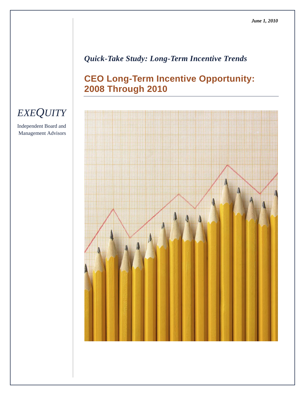## *Quick-Take Study: Long-Term Incentive Trends*

# **CEO Long-Term Incentive Opportunity: 2008 Through 2010**



# *EXEQUITY*

Independent Board and Management Advisors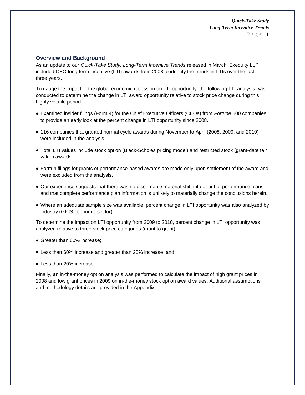#### **Overview and Background**

As an update to our *Quick-Take Study: Long-Term Incentive Trends* released in March, Exequity LLP included CEO long-term incentive (LTI) awards from 2008 to identify the trends in LTIs over the last three years.

To gauge the impact of the global economic recession on LTI opportunity, the following LTI analysis was conducted to determine the change in LTI award opportunity relative to stock price change during this highly volatile period:

- Examined insider filings (Form 4) for the Chief Executive Officers (CEOs) from *Fortune* 500 companies to provide an early look at the percent change in LTI opportunity since 2008.
- 116 companies that granted normal cycle awards during November to April (2008, 2009, and 2010) were included in the analysis.
- Total LTI values include stock option (Black-Scholes pricing model) and restricted stock (grant-date fair value) awards.
- Form 4 filings for grants of performance-based awards are made only upon settlement of the award and were excluded from the analysis.
- Our experience suggests that there was no discernable material shift into or out of performance plans and that complete performance plan information is unlikely to materially change the conclusions herein.
- Where an adequate sample size was available, percent change in LTI opportunity was also analyzed by industry (GICS economic sector).

To determine the impact on LTI opportunity from 2009 to 2010, percent change in LTI opportunity was analyzed relative to three stock price categories (grant to grant):

- Greater than 60% increase;
- Less than 60% increase and greater than 20% increase; and
- Less than 20% increase.

Finally, an in-the-money option analysis was performed to calculate the impact of high grant prices in 2008 and low grant prices in 2009 on in-the-money stock option award values. Additional assumptions and methodology details are provided in the Appendix.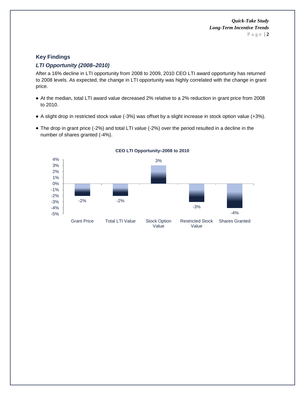### **Key Findings**

### *LTI Opportunity (2008–2010)*

After a 16% decline in LTI opportunity from 2008 to 2009, 2010 CEO LTI award opportunity has returned to 2008 levels. As expected, the change in LTI opportunity was highly correlated with the change in grant price.

- At the median, total LTI award value decreased 2% relative to a 2% reduction in grant price from 2008 to 2010.
- A slight drop in restricted stock value (-3%) was offset by a slight increase in stock option value (+3%).
- The drop in grant price (-2%) and total LTI value (-2%) over the period resulted in a decline in the number of shares granted (-4%).



#### **CEO LTI Opportunity–2008 to 2010**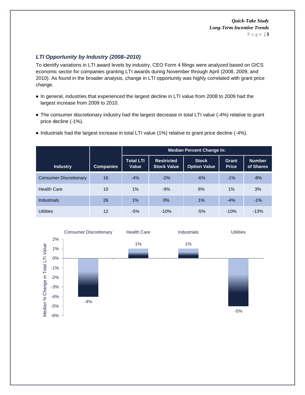## *LTI Opportunity by Industry (2008–2010)*

To identify variations in LTI award levels by industry, CEO Form 4 filings were analyzed based on GICS economic sector for companies granting LTI awards during November through April (2008, 2009, and 2010). As found in the broader analysis, change in LTI opportunity was highly correlated with grant price change.

- In general, industries that experienced the largest decline in LTI value from 2008 to 2009 had the largest increase from 2009 to 2010.
- The consumer discretionary industry had the largest decrease in total LTI value (-4%) relative to grant price decline (-1%).
- Industrials had the largest increase in total LTI value (1%) relative to grant price decline (-4%).

|                               |                  | <b>Median Percent Change In:</b> |                                         |                                     |                       |                            |  |  |  |
|-------------------------------|------------------|----------------------------------|-----------------------------------------|-------------------------------------|-----------------------|----------------------------|--|--|--|
| <b>Industry</b>               | <b>Companies</b> | <b>Total LTI</b><br>Value        | <b>Restricted</b><br><b>Stock Value</b> | <b>Stock</b><br><b>Option Value</b> | Grant<br><b>Price</b> | <b>Number</b><br>of Shares |  |  |  |
| <b>Consumer Discretionary</b> | 16               | $-4\%$                           | $-2%$                                   | $-6%$                               | $-1\%$                | $-8%$                      |  |  |  |
| <b>Health Care</b>            | 10               | 1%                               | $-9%$                                   | 6%                                  | 1%                    | 3%                         |  |  |  |
| <b>Industrials</b>            | 26               | $1\%$                            | 0%                                      | 1%                                  | $-4%$                 | $-1%$                      |  |  |  |
| <b>Utilities</b>              | 12               | $-5%$                            | $-10%$                                  | $-5%$                               | $-10%$                | $-13%$                     |  |  |  |

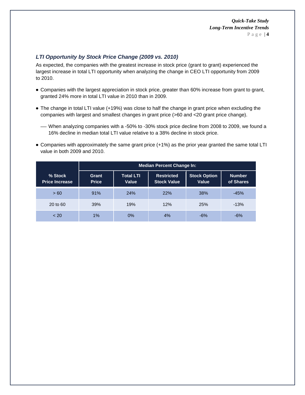## *LTI Opportunity by Stock Price Change (2009 vs. 2010)*

As expected, the companies with the greatest increase in stock price (grant to grant) experienced the largest increase in total LTI opportunity when analyzing the change in CEO LTI opportunity from 2009 to 2010.

- Companies with the largest appreciation in stock price, greater than 60% increase from grant to grant, granted 24% more in total LTI value in 2010 than in 2009.
- The change in total LTI value (+19%) was close to half the change in grant price when excluding the companies with largest and smallest changes in grant price (>60 and <20 grant price change).
	- When analyzing companies with a -50% to -30% stock price decline from 2008 to 2009, we found a 16% decline in median total LTI value relative to a 38% decline in stock price.
- Companies with approximately the same grant price (+1%) as the prior year granted the same total LTI value in both 2009 and 2010.

|                                  | <b>Median Percent Change In:</b> |                           |                                         |                              |                            |  |  |
|----------------------------------|----------------------------------|---------------------------|-----------------------------------------|------------------------------|----------------------------|--|--|
| % Stock<br><b>Price Increase</b> | Grant<br><b>Price</b>            | <b>Total LTI</b><br>Value | <b>Restricted</b><br><b>Stock Value</b> | <b>Stock Option</b><br>Value | <b>Number</b><br>of Shares |  |  |
| > 60                             | 91%<br>24%                       |                           | 22%                                     | <b>38%</b>                   | $-45%$                     |  |  |
| 20 to 60                         | 39%                              |                           | 12%                                     | <b>25%</b>                   | $-13%$                     |  |  |
| ~< 20                            | 1%                               | 0%                        | 4%                                      | $-6%$                        | $-6%$                      |  |  |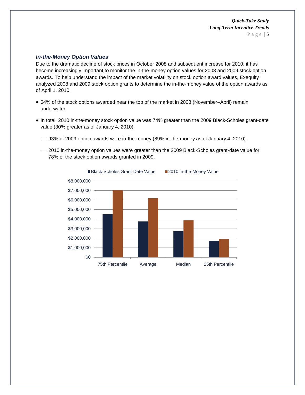#### *In-the-Money Option Values*

Due to the dramatic decline of stock prices in October 2008 and subsequent increase for 2010, it has become increasingly important to monitor the in-the-money option values for 2008 and 2009 stock option awards. To help understand the impact of the market volatility on stock option award values, Exequity analyzed 2008 and 2009 stock option grants to determine the in-the-money value of the option awards as of April 1, 2010.

- 64% of the stock options awarded near the top of the market in 2008 (November–April) remain underwater.
- In total, 2010 in-the-money stock option value was 74% greater than the 2009 Black-Scholes grant-date value (30% greater as of January 4, 2010).
	- 93% of 2009 option awards were in-the-money (89% in-the-money as of January 4, 2010).
	- 2010 in-the-money option values were greater than the 2009 Black-Scholes grant-date value for 78% of the stock option awards granted in 2009.

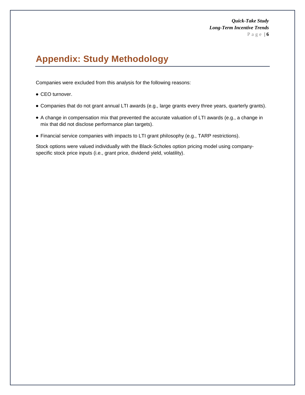# **Appendix: Study Methodology**

Companies were excluded from this analysis for the following reasons:

- CEO turnover.
- Companies that do not grant annual LTI awards (e.g., large grants every three years, quarterly grants).
- A change in compensation mix that prevented the accurate valuation of LTI awards (e.g., a change in mix that did not disclose performance plan targets).
- Financial service companies with impacts to LTI grant philosophy (e.g., TARP restrictions).

Stock options were valued individually with the Black-Scholes option pricing model using companyspecific stock price inputs (i.e., grant price, dividend yield, volatility).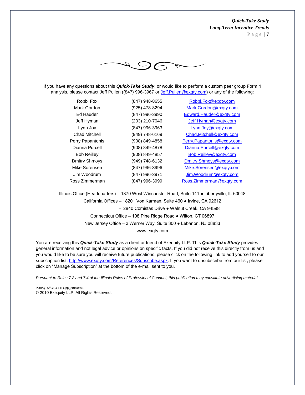

If you have any questions about this *Quick-Take Study*, or would like to perform a custom peer group Form 4 analysis, please contact Jeff Pullen ((847) 996-3967 or Jeff. Pullen@exqty.com) or any of the following:

| Robbi Fox            | (847) 948-8655 | Robbi.Fox@exgty.com        |
|----------------------|----------------|----------------------------|
| Mark Gordon          | (925) 478-8294 | Mark.Gordon@exqty.com      |
| Ed Hauder            | (847) 996-3990 | Edward.Hauder@exgty.com    |
| Jeff Hyman           | (203) 210-7046 | Jeff.Hyman@exqty.com       |
| Lynn Joy             | (847) 996-3963 | Lynn.Joy@exqty.com         |
| Chad Mitchell        | (949) 748-6169 | Chad.Mitchell@exqty.com    |
| Perry Papantonis     | (908) 849-4858 | Perry.Papantonis@exqty.com |
| Dianna Purcell       | (908) 849-4878 | Dianna.Purcell@exqty.com   |
| <b>Bob Reilley</b>   | (908) 849-4857 | Bob.Reilley@exqty.com      |
| <b>Dmitry Shmoys</b> | (949) 748-6132 | Dmitry.Shmoys@exqty.com    |
| Mike Sorensen        | (847) 996-3996 | Mike.Sorensen@exqty.com    |
| Jim Woodrum          | (847) 996-3971 | Jim.Woodrum@exqty.com      |
| Ross Zimmerman       | (847) 996-3999 | Ross.Zimmerman@exgty.com   |
|                      |                |                            |

Illinois Office (Headquarters) – 1870 West Winchester Road, Suite 141 ● Libertyville, IL 60048 California Offices – 18201 Von Karman, Suite 460 ● Irvine, CA 92612 – 2840 Comistas Drive ● Walnut Creek, CA 94598 Connecticut Office – 108 Pine Ridge Road ● Wilton, CT 06897 New Jersey Office – 3 Werner Way, Suite 300 ● Lebanon, NJ 08833 www.exqty.com

You are receiving this *Quick-Take Study* as a client or friend of Exequity LLP. This *Quick-Take Study* provides general information and not legal advice or opinions on specific facts. If you did not receive this directly from us and you would like to be sure you will receive future publications, please click on the following link to add yourself to our subscription list: [http://www.exqty.com/References/Subscribe.aspx.](http://www.exqty.com/References/Subscribe.aspx) If you want to unsubscribe from our list, please click on "Manage Subscription" at the bottom of the e-mail sent to you.

*Pursuant to Rules 7.2 and 7.4 of the Illinois Rules of Professional Conduct, this publication may constitute advertising material.*

PUB/QTS//CEO LTI Opp\_20100601 © 2010 Exequity LLP. All Rights Reserved.